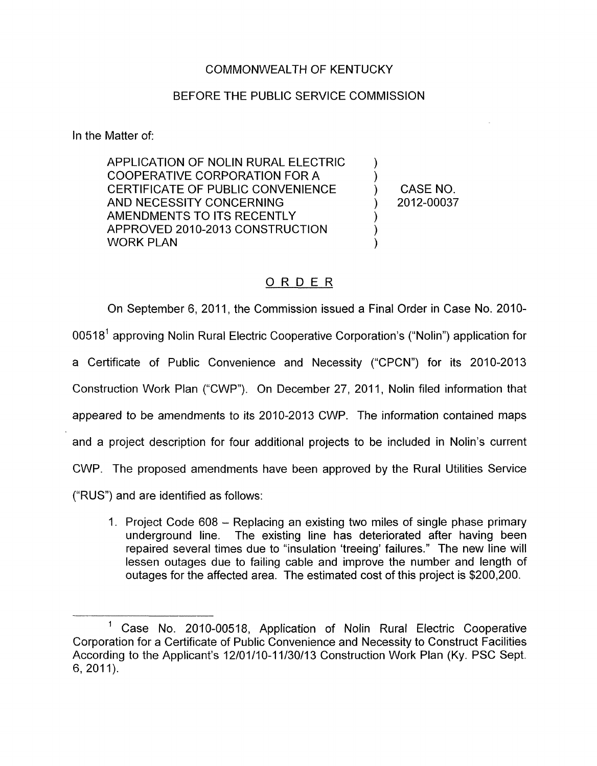## COMMONWEALTH OF KENTUCKY

## BEFORE THE PUBLIC SERVICE COMMISSION

In the Matter of:

APPLICATION OF NOLIN RURAL ELECTRIC CERTIFICATE OF PUBLIC CONVENIENCE  $\qquad \qquad$ ) CASE NO.<br>AND NECESSITY CONCERNING  $\qquad \qquad$ ) 2012-00037 COOPERATIVE CORPORATION FOR A ) AND NECESSITY CONCERNING  $)$ AMENDMENTS TO ITS RECENTLY  $)$ APPROVED 2010-2013 CONSTRUCTION WORK PLAN

 $\sum_{i=1}^{n}$ 

## ORDER

On September 6, 2011, the Commission issued a Final Order in Case No. 2010- 00518<sup>1</sup> approving Nolin Rural Electric Cooperative Corporation's ("Nolin") application for a Certificate of Public Convenience and Necessity ("CPCN") for its 2010-2013 Construction Work Plan ("CWP"). On December 27, 2011, Nolin filed information that appeared to be amendments to its 2010-2013 CWP. The information contained maps and a project description for four additional projects to be included in Nolin's current CWP. The proposed amendments have been approved by the Rural Utilities Service ("RUS") and are identified as follows:

1. Project Code 608 - Replacing an existing two miles of single phase primary The existing line has deteriorated after having been repaired several times due to "insulation 'treeing' failures." The new line will lessen outages due to failing cable and improve the number and length of outages for the affected area. The estimated cost of this project is \$200,200.

 $1$  Case No. 2010-00518, Application of Nolin Rural Electric Cooperative Corporation for a Certificate of Public Convenience and Necessity to Construct Facilities According to the Applicant's 12/01/10-11/30/13 Construction Work Plan (Ky. PSC Sept.  $6, 2011$ ).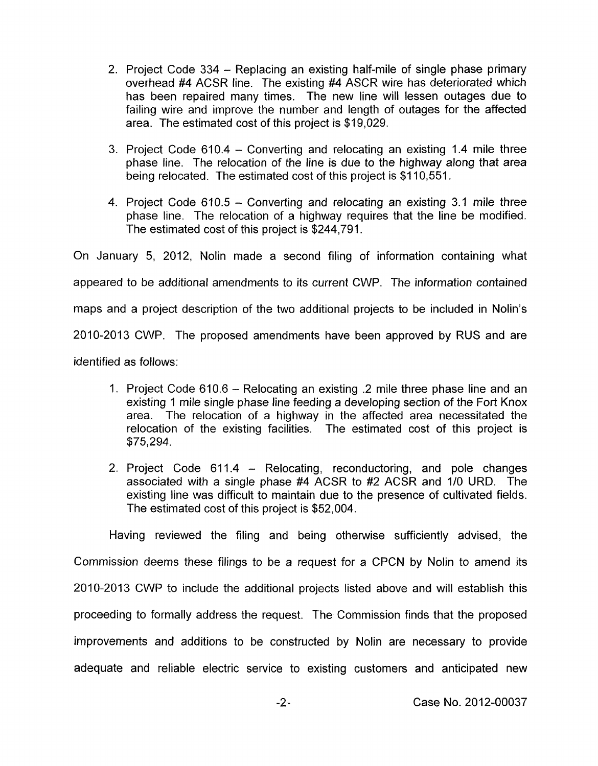- 2. Project Code 334 Replacing an existing half-mile of single phase primary overhead #4 ACSR line. The existing **#4** ASCR wire has deteriorated which has been repaired many times. The new line will lessen outages due to failing wire and improve the number and length of outages for the affected area. The estimated cost of this project is \$19,029.
- 3. Project Code 610.4 Converting and relocating an existing 1.4 mile three phase line. The relocation of the line is due to the highway along that area being relocated. The estimated cost of this project is \$1 10,551.
- 4. Project Code 610.5 Converting and relocating an existing 3.1 mile three phase line. The relocation of a highway requires that the line be modified. The estimated cost of this project is \$244,791.

On January 5, 2012, Nolin made a second filing of information containing what appeared to be additional amendments to its current CWP. The information contained maps and a project description of the two additional projects to be included in Nolin's 2010-2013 CWP. The proposed amendments have been approved by RUS and are

identified as follows:

- 1. Project Code 610.6 Relocating an existing .2 mile three phase line and an existing 1 mile single phase line feeding a developing section of the Fort Knox area. The relocation of a highway in the affected area necessitated the relocation of the existing facilities. The estimated cost of this project is \$75,294.
- 2. Project Code 611.4 Relocating, reconductoring, and pole changes associated with a single phase #4 ACSR to #2 ACSR and 1/0 URD. The existing line was difficult to maintain due to the presence of cultivated fields. The estimated cost of this project is \$52,004.

Having reviewed the filing and being otherwise sufficiently advised, the Commission deems these filings to be a request for a CPCN by Nolin to amend its 2010-2013 CWP to include the additional projects listed above and will establish this proceeding to formally address the request. The Commission finds that the proposed improvements and additions to be constructed by Nolin are necessary to provide adequate and reliable electric service to existing customers and anticipated new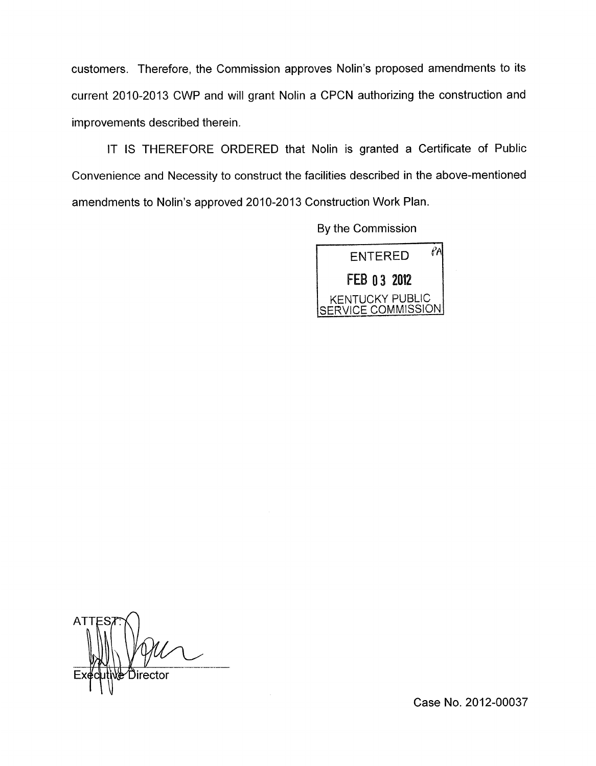customers. Therefore, the Commission approves Nolin's proposed amendments to its current 2010-2013 CWP and will grant Nolin a CPCN authorizing the construction and improvements described therein.

IT IS THEREFORE ORDERED that Nolin is granted a Certificate of Public Convenience and Necessity to construct the facilities described in the above-mentioned amendments to Nolin's approved 2010-2013 Construction Work Plan.

By the Commission



**ATT** Director

Case No. 2012-00037